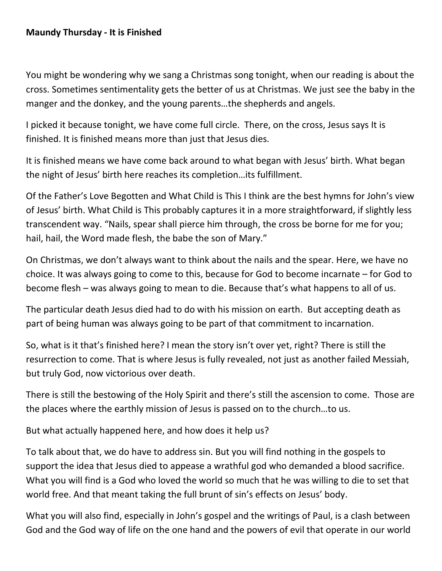You might be wondering why we sang a Christmas song tonight, when our reading is about the cross. Sometimes sentimentality gets the better of us at Christmas. We just see the baby in the manger and the donkey, and the young parents…the shepherds and angels.

I picked it because tonight, we have come full circle. There, on the cross, Jesus says It is finished. It is finished means more than just that Jesus dies.

It is finished means we have come back around to what began with Jesus' birth. What began the night of Jesus' birth here reaches its completion…its fulfillment.

Of the Father's Love Begotten and What Child is This I think are the best hymns for John's view of Jesus' birth. What Child is This probably captures it in a more straightforward, if slightly less transcendent way. "Nails, spear shall pierce him through, the cross be borne for me for you; hail, hail, the Word made flesh, the babe the son of Mary."

On Christmas, we don't always want to think about the nails and the spear. Here, we have no choice. It was always going to come to this, because for God to become incarnate – for God to become flesh – was always going to mean to die. Because that's what happens to all of us.

The particular death Jesus died had to do with his mission on earth. But accepting death as part of being human was always going to be part of that commitment to incarnation.

So, what is it that's finished here? I mean the story isn't over yet, right? There is still the resurrection to come. That is where Jesus is fully revealed, not just as another failed Messiah, but truly God, now victorious over death.

There is still the bestowing of the Holy Spirit and there's still the ascension to come. Those are the places where the earthly mission of Jesus is passed on to the church…to us.

But what actually happened here, and how does it help us?

To talk about that, we do have to address sin. But you will find nothing in the gospels to support the idea that Jesus died to appease a wrathful god who demanded a blood sacrifice. What you will find is a God who loved the world so much that he was willing to die to set that world free. And that meant taking the full brunt of sin's effects on Jesus' body.

What you will also find, especially in John's gospel and the writings of Paul, is a clash between God and the God way of life on the one hand and the powers of evil that operate in our world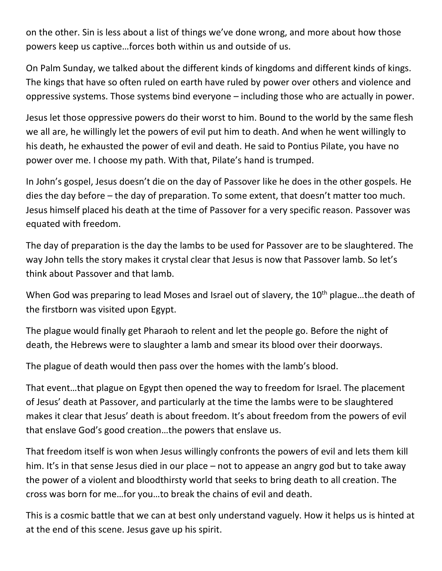on the other. Sin is less about a list of things we've done wrong, and more about how those powers keep us captive…forces both within us and outside of us.

On Palm Sunday, we talked about the different kinds of kingdoms and different kinds of kings. The kings that have so often ruled on earth have ruled by power over others and violence and oppressive systems. Those systems bind everyone – including those who are actually in power.

Jesus let those oppressive powers do their worst to him. Bound to the world by the same flesh we all are, he willingly let the powers of evil put him to death. And when he went willingly to his death, he exhausted the power of evil and death. He said to Pontius Pilate, you have no power over me. I choose my path. With that, Pilate's hand is trumped.

In John's gospel, Jesus doesn't die on the day of Passover like he does in the other gospels. He dies the day before – the day of preparation. To some extent, that doesn't matter too much. Jesus himself placed his death at the time of Passover for a very specific reason. Passover was equated with freedom.

The day of preparation is the day the lambs to be used for Passover are to be slaughtered. The way John tells the story makes it crystal clear that Jesus is now that Passover lamb. So let's think about Passover and that lamb.

When God was preparing to lead Moses and Israel out of slavery, the 10<sup>th</sup> plague...the death of the firstborn was visited upon Egypt.

The plague would finally get Pharaoh to relent and let the people go. Before the night of death, the Hebrews were to slaughter a lamb and smear its blood over their doorways.

The plague of death would then pass over the homes with the lamb's blood.

That event…that plague on Egypt then opened the way to freedom for Israel. The placement of Jesus' death at Passover, and particularly at the time the lambs were to be slaughtered makes it clear that Jesus' death is about freedom. It's about freedom from the powers of evil that enslave God's good creation…the powers that enslave us.

That freedom itself is won when Jesus willingly confronts the powers of evil and lets them kill him. It's in that sense Jesus died in our place – not to appease an angry god but to take away the power of a violent and bloodthirsty world that seeks to bring death to all creation. The cross was born for me…for you…to break the chains of evil and death.

This is a cosmic battle that we can at best only understand vaguely. How it helps us is hinted at at the end of this scene. Jesus gave up his spirit.